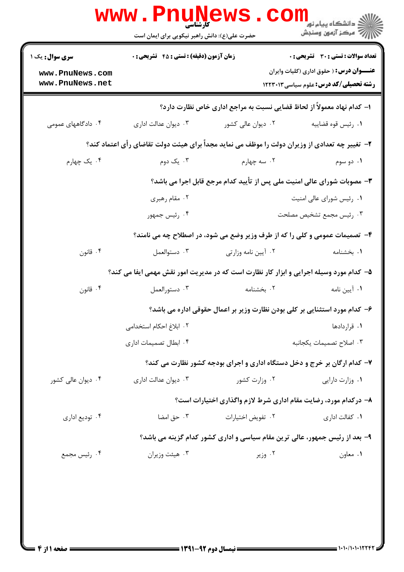|                                    | حضرت علی(ع): دانش راهبر نیکویی برای ایمان است                           |                                                                                                | لاد دانشڪاه پيا <sub>م</sub> نور<br>اڳ مرڪز آزمون وسنڊش                                           |
|------------------------------------|-------------------------------------------------------------------------|------------------------------------------------------------------------------------------------|---------------------------------------------------------------------------------------------------|
| <b>سری سوال :</b> یک ۱             | زمان آزمون (دقیقه) : تستی : 45 آتشریحی : 0                              |                                                                                                | <b>تعداد سوالات : تستي : 30 ٪ تشريحي : 0</b>                                                      |
| www.PnuNews.com<br>www.PnuNews.net |                                                                         |                                                                                                | <b>عنــــوان درس:</b> ( حقوق اداری (کلیات وایران<br><b>رشته تحصیلی/کد درس:</b> علوم سیاسی ۱۲۲۳۰۱۳ |
|                                    |                                                                         | ا– کدام نهاد معمولاً از لحاظ قضایی نسبت به مراجع اداری خاص نظارت دارد؟                         |                                                                                                   |
| ۰۴ دادگاههای عمومی                 | ۰۳ دیوان عدالت اداری                                                    | ۰۲ دیوان عالی کشور                                                                             | ٠١. رئيس قوه قضاييه                                                                               |
|                                    |                                                                         | ۲- تغییر چه تعدادی از وزیران دولت را موظف می نماید مجداً برای هیئت دولت تقاضای رأی اعتماد کند؟ |                                                                                                   |
| ۰۴ یک چهارم                        | ۰۳ یک دوم                                                               | ۰۲ سه چهارم                                                                                    | ۰۱ دو سوم                                                                                         |
|                                    | ۳- مصوبات شورای عالی امنیت ملی پس از تأیید کدام مرجع قابل اجرا می باشد؟ |                                                                                                |                                                                                                   |
|                                    | ۰۲ مقام رهبری                                                           |                                                                                                | ۰۱ رئیس شورای عالی امنیت                                                                          |
|                                    | ۰۴ رئیس جمهور                                                           |                                                                                                | ۰۳ رئیس مجمع تشخیص مصلحت                                                                          |
|                                    |                                                                         | ۴- تصمیمات عمومی و کلی را که از طرف وزیر وضع می شود، در اصطلاح چه می نامند؟                    |                                                                                                   |
| ۰۴ قانون                           | ۰۳ دستوالعمل                                                            | ۰۲ آيين نامه وزارتي                                                                            | ٠١. بخشنامه                                                                                       |
|                                    |                                                                         | ۵– کدام مورد وسیله اجرایی و ابزار کار نظارت است که در مدیریت امور نقش مهمی ایفا می کند؟        |                                                                                                   |
| ۰۴ قانون                           | ۰۳ دستورالعمل                                                           | ۰۲ بخشنامه                                                                                     | ۰۱ آیین نامه                                                                                      |
|                                    |                                                                         | ۶– کدام مورد استثنایی بر کلی بودن نظارت وزیر بر اعمال حقوقی اداره می باشد؟                     |                                                                                                   |
|                                    | ٠٢ ابلاغ احكام استخدامى                                                 |                                                                                                | ٠١ قراردادها                                                                                      |
|                                    | ۰۴ ابطال تصمیمات اداری                                                  |                                                                                                | ٠٣ اصلاح تصميمات يكجانبه                                                                          |
|                                    |                                                                         | ۷- کدام ارگان بر خرج و دخل دستگاه اداری و اجرای بودجه کشور نظارت می کند؟                       |                                                                                                   |
| ۰۴ دیوان عالی کشور                 | ۰۳ دیوان عدالت اداری                                                    | ۰۲ وزارت کشور                                                                                  | ۰۱ وزارت دارایی                                                                                   |
|                                    |                                                                         | ۸- درکدام مورد، رضایت مقام اداری شرط لازم واگذاری اختیارات است؟                                |                                                                                                   |
| ۰۴ توديع اداري                     | ۰۳ حق امضا                                                              | ٠٢ تفويض اختيارات                                                                              | ۰۱ کفالت اداری                                                                                    |
|                                    |                                                                         | ۹- بعد از رئیس جمهور، عالی ترین مقام سیاسی و اداری کشور کدام گزینه می باشد؟                    |                                                                                                   |
| ۰۴ رئيس مجمع                       | ۰۳ هیئت وزیران                                                          | ۰۲ وزیر                                                                                        | ۰۱ معاون                                                                                          |
|                                    |                                                                         |                                                                                                |                                                                                                   |
|                                    |                                                                         |                                                                                                |                                                                                                   |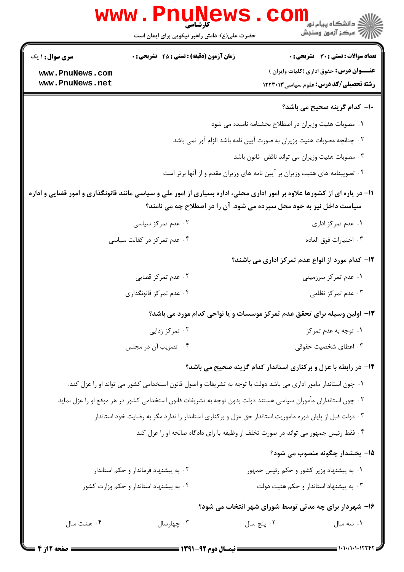| <b>سری سوال :</b> ۱ یک | <b>زمان آزمون (دقیقه) : تستی : 45 قشریحی : 0</b>                                                                                                                                                  |                                                                        | <b>تعداد سوالات : تستی : 30 ٪ تشریحی : 0</b>                    |
|------------------------|---------------------------------------------------------------------------------------------------------------------------------------------------------------------------------------------------|------------------------------------------------------------------------|-----------------------------------------------------------------|
| www.PnuNews.com        |                                                                                                                                                                                                   |                                                                        | <b>عنــــوان درس:</b> حقوق اداری (کلیات وایران )                |
| www.PnuNews.net        |                                                                                                                                                                                                   |                                                                        | <b>رشته تحصیلی/کد درس:</b> علوم سیاسی ۱۲۲۳۰۱۳                   |
|                        |                                                                                                                                                                                                   |                                                                        | <b>۱۰</b> - کدام گزینه صحیح می باشد؟                            |
|                        |                                                                                                                                                                                                   | ۰۱ مصوبات هئیت وزیران در اصطلاح بخشنامه نامیده می شود                  |                                                                 |
|                        |                                                                                                                                                                                                   | ۰۲ چنانچه مصوبات هئیت وزیران به صورت آیین نامه باشد الزام آور نمی باشد |                                                                 |
|                        |                                                                                                                                                                                                   | ۰۳ مصوبات هئیت وزیران می تواند ناقض قانون باشد                         |                                                                 |
|                        | ۰۴ تصویبنامه های هئیت وزیران بر آیین نامه های وزیران مقدم و از آنها برتر است                                                                                                                      |                                                                        |                                                                 |
|                        | 11– در پاره ای از کشورها علاوه بر امور اداری محلی، اداره بسیاری از امور ملی و سیاسی مانند قانونگذاری و امور قضایی و اداره<br>سیاست داخل نیز به خود محل سپرده می شود. آن را در اصطلاح چه می نامند؟ |                                                                        |                                                                 |
|                        | ۰۲ عدم تمرکز سیاسی                                                                                                                                                                                |                                                                        | ۰۱ عدم تمرکز اداری                                              |
|                        | ۰۴ عدم تمرکز در کفالت سیاسی                                                                                                                                                                       |                                                                        | ٠٣ اختيارات فوق العاده                                          |
|                        |                                                                                                                                                                                                   |                                                                        | <b>۱۲</b> – کدام مورد از انواع عدم تمرکز اداری می باشند؟        |
|                        | ۰۲ عدم تمرکز قضایی                                                                                                                                                                                |                                                                        | ۰۱ عدم تمرکز سرزمینی                                            |
|                        | ۰۴ عدم تمرکز قانونگذاری                                                                                                                                                                           |                                                                        | ۰۳ عدم تمرکز نظامی                                              |
|                        | ۱۳- اولین وسیله برای تحقق عدم تمرکز موسسات و یا نواحی کدام مورد می باشد؟                                                                                                                          |                                                                        |                                                                 |
|                        | ۰۲ تمرکز زدایی                                                                                                                                                                                    |                                                                        | ۰۱ توجه به عدم تمرکز                                            |
|                        | ۰۴ تصویب آن در مجلس                                                                                                                                                                               |                                                                        | ۰۳ اعطای شخصیت حقوقی                                            |
|                        |                                                                                                                                                                                                   |                                                                        | ۱۴- در رابطه با عزل و برکناری استاندار کدام گزینه صحیح می باشد؟ |
|                        | ۰۱ چون استاندار مامور اداری می باشد دولت با توجه به تشریفات و اصول قانون استخدامی کشور می تواند او را عزل کند.                                                                                    |                                                                        |                                                                 |
|                        | ۰۲ چون استانداران مأموران سياسي هستند دولت بدون توجه به تشريفات قانون استخدامي كشور در هر موقع او را عزل نمايد                                                                                    |                                                                        |                                                                 |
|                        | ۰۳ دولت قبل از پایان دوره ماموریت استاندار حق عزل و برکناری استاندار را ندارد مگر به رضایت خود استاندار                                                                                           |                                                                        |                                                                 |
|                        | ۰۴ فقط رئیس جمهور می تواند در صورت تخلف از وظیفه با رای دادگاه صالحه او را عزل کند                                                                                                                |                                                                        |                                                                 |
|                        |                                                                                                                                                                                                   |                                                                        | 1۵– بخشدار چگونه منصوب می شود؟                                  |
|                        | ۰۲ به پیشنهاد فرماندار و حکم استاندار                                                                                                                                                             |                                                                        | ۰۱ به پیشنهاد وزیر کشور و حکم رئیس جمهور                        |
|                        | ۰۴ به پیشنهاد استاندار و حکم وزارت کشور                                                                                                                                                           |                                                                        | ۰۳ به پیشنهاد استاندار و حکم هئیت دولت                          |
|                        |                                                                                                                                                                                                   |                                                                        | ۱۶- شهردار برای چه مدتی توسط شورای شهر انتخاب می شود؟           |
| ۰۴ هشت سال             | ۰۳ چهارسال                                                                                                                                                                                        | ۰۲ پنج سال                                                             | ۰۱ سه سال                                                       |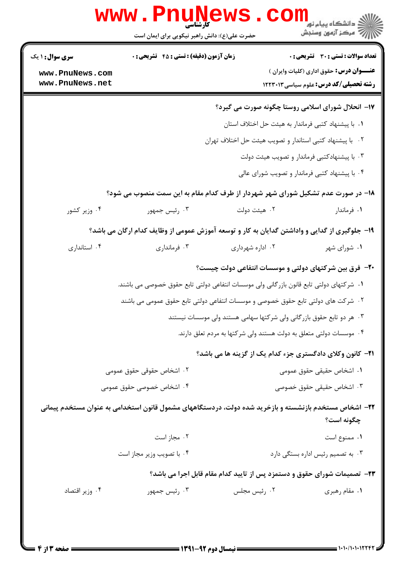|                                    | <b>WWW.PNUN</b><br>کارشناسی<br>حضرت علی(ع): دانش راهبر نیکویی برای ایمان است                          |                                                                      | ڏ دانشگاه پيام نور<br>رِ آھرڪز آزمون وسنڊش                                                        |
|------------------------------------|-------------------------------------------------------------------------------------------------------|----------------------------------------------------------------------|---------------------------------------------------------------------------------------------------|
| <b>سری سوال : ۱ یک</b>             | زمان آزمون (دقیقه) : تستی : 45 آتشریحی : 0                                                            |                                                                      | <b>تعداد سوالات : تستی : 30 ٪ تشریحی : 0</b>                                                      |
| www.PnuNews.com<br>www.PnuNews.net |                                                                                                       |                                                                      | <b>عنــــوان درس:</b> حقوق اداری (کلیات وایران )<br><b>رشته تحصیلی/کد درس:</b> علوم سیاسی ۱۲۲۳۰۱۳ |
|                                    |                                                                                                       |                                                                      | ۱۷- انحلال شورای اسلامی روستا چگونه صورت می گیرد؟                                                 |
|                                    |                                                                                                       |                                                                      | ٠١. با پیشنهاد كتبی فرماندار به هیئت حل اختلاف استان                                              |
|                                    |                                                                                                       | ۰۲ با پیشنهاد کتبی استاندار و تصویب هیئت حل اختلاف تهران             |                                                                                                   |
|                                    |                                                                                                       |                                                                      | ۰۳ با پیشنهادکتبی فرماندار و تصویب هیئت دولت                                                      |
|                                    |                                                                                                       |                                                                      | ۰۴ با پیشنهاد کتبی فرماندار و تصویب شورای عالی                                                    |
|                                    | ۱۸– در صورت عدم تشکیل شورای شهر شهردار از طرف کدام مقام به این سمت منصوب می شود؟                      |                                                                      |                                                                                                   |
| ۰۴ وزیر کشور                       | ۰۳ رئیس جمهور                                                                                         | ۰۲ هیئت دولت                                                         | ۰۱ فرماندار                                                                                       |
|                                    | ۱۹- جلوگیری از گدایی و واداشتن گدایان به کار و توسعه آموزش عمومی از وظایف کدام ارگان می باشد؟         |                                                                      |                                                                                                   |
| ۰۴ استانداری                       | ۰۳ فرمانداری                                                                                          | ۰۲ اداره شهرداری                                                     | ۰۱ شورای شهر                                                                                      |
|                                    |                                                                                                       |                                                                      | +۲- فرق بین شرکتهای دولتی و موسسات انتفاعی دولت چیست؟                                             |
|                                    | ۰۱ شرکتهای دولتی تابع قانون بازرگانی ولی موسسات انتفاعی دولتی تابع حقوق خصوصی می باشند.               |                                                                      |                                                                                                   |
|                                    | ۰۲ شرکت های دولتی تابع حقوق خصوصی و موسسات انتفاعی دولتی تابع حقوق عمومی می باشند                     |                                                                      |                                                                                                   |
|                                    |                                                                                                       | ۰۳ هر دو تابع حقوق بازرگانی ولی شرکتها سهامی هستند ولی موسسات نیستند |                                                                                                   |
|                                    |                                                                                                       | ۰۴ موسسات دولتی متعلق به دولت هستند ولی شرکتها به مردم تعلق دارند.   |                                                                                                   |
|                                    |                                                                                                       |                                                                      | <b>۲۱</b> - کانون وکلای دادگستری جزء کدام یک از گزینه ها می باشد؟                                 |
|                                    | ۰۲ اشخاص حقوقی حقوق عمومی                                                                             |                                                                      | ٠١. اشخاص حقيقى حقوق عمومى                                                                        |
|                                    | ۰۴ اشخاص خصوصی حقوق عمومی                                                                             |                                                                      | ۰۳ اشخاص حقیقی حقوق خصوصی                                                                         |
|                                    | ۲۲– اشخاص مستخدم بازنشسته و بازخرید شده دولت، دردستگاههای مشمول قانون استخدامی به عنوان مستخدم پیمانی |                                                                      | چگونه است؟                                                                                        |
|                                    | ۰۲ مجاز است                                                                                           |                                                                      | ٠١ ممنوع است                                                                                      |
| ۰۴ با تصویب وزیر مجاز است          |                                                                                                       |                                                                      | ۰۳ به تصمیم رئیس اداره بستگی دارد                                                                 |
|                                    |                                                                                                       |                                                                      | ۲۳- تصمیمات شورای حقوق و دستمزد پس از تایید کدام مقام قابل اجرا می باشد؟                          |
| ۰۴ وزير اقتصاد                     | ۰۳ رئیس جمهور                                                                                         | ۰۲ رئیس مجلس                                                         | ۰۱ مقام رهبری                                                                                     |
|                                    |                                                                                                       |                                                                      |                                                                                                   |